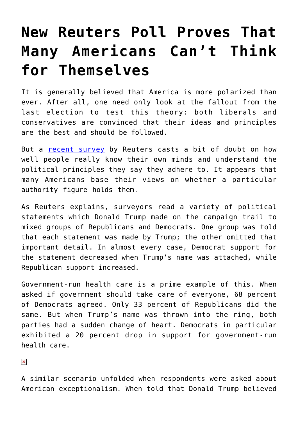## **[New Reuters Poll Proves That](https://intellectualtakeout.org/2017/04/new-reuters-poll-proves-that-many-americans-cant-think-for-themselves/) [Many Americans Can't Think](https://intellectualtakeout.org/2017/04/new-reuters-poll-proves-that-many-americans-cant-think-for-themselves/) [for Themselves](https://intellectualtakeout.org/2017/04/new-reuters-poll-proves-that-many-americans-cant-think-for-themselves/)**

It is generally believed that America is more polarized than ever. After all, one need only look at the fallout from the last election to test this theory: both liberals and conservatives are convinced that their ideas and principles are the best and should be followed.

But a [recent survey](http://fingfx.thomsonreuters.com/gfx/rngs/USA-TRUMP-EFFECT-POLL/010040HG13T/index.html) by Reuters casts a bit of doubt on how well people really know their own minds and understand the political principles they say they adhere to. It appears that many Americans base their views on whether a particular authority figure holds them.

As Reuters explains, surveyors read a variety of political statements which Donald Trump made on the campaign trail to mixed groups of Republicans and Democrats. One group was told that each statement was made by Trump; the other omitted that important detail. In almost every case, Democrat support for the statement decreased when Trump's name was attached, while Republican support increased.

Government-run health care is a prime example of this. When asked if government should take care of everyone, 68 percent of Democrats agreed. Only 33 percent of Republicans did the same. But when Trump's name was thrown into the ring, both parties had a sudden change of heart. Democrats in particular exhibited a 20 percent drop in support for government-run health care.

 $\pmb{\times}$ 

A similar scenario unfolded when respondents were asked about American exceptionalism. When told that Donald Trump believed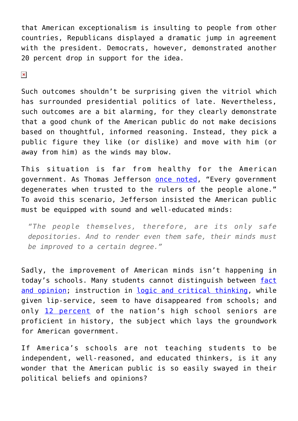that American exceptionalism is insulting to people from other countries, Republicans displayed a dramatic jump in agreement with the president. Democrats, however, demonstrated another 20 percent drop in support for the idea.

 $\pmb{\times}$ 

Such outcomes shouldn't be surprising given the vitriol which has surrounded presidential politics of late. Nevertheless, such outcomes are a bit alarming, for they clearly demonstrate that a good chunk of the American public do not make decisions based on thoughtful, informed reasoning. Instead, they pick a public figure they like (or dislike) and move with him (or away from him) as the winds may blow.

This situation is far from healthy for the American government. As Thomas Jefferson [once noted](http://press-pubs.uchicago.edu/founders/documents/v1ch18s16.html), "Every government degenerates when trusted to the rulers of the people alone." To avoid this scenario, Jefferson insisted the American public must be equipped with sound and well-educated minds:

*"The people themselves, therefore, are its only safe depositories. And to render even them safe, their minds must be improved to a certain degree."*

Sadly, the improvement of American minds isn't happening in today's schools. Many students cannot distinguish between [fact](http://www.act.org/content/dam/act/unsecured/documents/NCS_Report_Web.pdf) [and opinion;](http://www.act.org/content/dam/act/unsecured/documents/NCS_Report_Web.pdf) instruction in [logic and critical thinking](https://www.intellectualtakeout.org/blog/should-students-be-taught-argue-rationally), while given lip-service, seem to have disappeared from schools; and only [12 percent](https://nationsreportcard.gov/) of the nation's high school seniors are proficient in history, the subject which lays the groundwork for American government.

If America's schools are not teaching students to be independent, well-reasoned, and educated thinkers, is it any wonder that the American public is so easily swayed in their political beliefs and opinions?